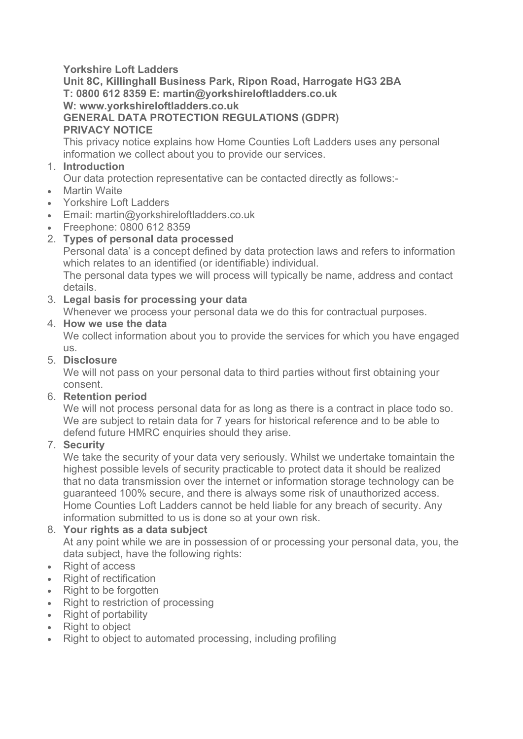# **Yorkshire Loft Ladders**

**Unit 8C, Killinghall Business Park, Ripon Road, Harrogate HG3 2BA T: 0800 612 8359 E: martin@yorkshireloftladders.co.uk W: www.yorkshireloftladders.co.uk GENERAL DATA PROTECTION REGULATIONS (GDPR) PRIVACY NOTICE**

This privacy notice explains how Home Counties Loft Ladders uses any personal information we collect about you to provide our services.

### 1. **Introduction**

Our data protection representative can be contacted directly as follows:-

- Martin Waite
- Yorkshire Loft Ladders
- Email: martin@yorkshireloftladders.co.uk
- Freephone: 0800 612 8359

# 2. **Types of personal data processed**

Personal data' is a concept defined by data protection laws and refers to information which relates to an identified (or identifiable) individual.

The personal data types we will process will typically be name, address and contact details.

# 3. **Legal basis for processing your data**

Whenever we process your personal data we do this for contractual purposes.

# 4. **How we use the data**

We collect information about you to provide the services for which you have engaged us.

#### 5. **Disclosure**

We will not pass on your personal data to third parties without first obtaining your consent.

6. **Retention period**

We will not process personal data for as long as there is a contract in place todo so. We are subject to retain data for 7 years for historical reference and to be able to defend future HMRC enquiries should they arise.

# 7. **Security**

We take the security of your data very seriously. Whilst we undertake tomaintain the highest possible levels of security practicable to protect data it should be realized that no data transmission over the internet or information storage technology can be guaranteed 100% secure, and there is always some risk of unauthorized access. Home Counties Loft Ladders cannot be held liable for any breach of security. Any information submitted to us is done so at your own risk.

# 8. **Your rights as a data subject**

At any point while we are in possession of or processing your personal data, you, the data subject, have the following rights:

- Right of access
- Right of rectification
- Right to be forgotten
- Right to restriction of processing
- Right of portability
- Right to object
- Right to object to automated processing, including profiling